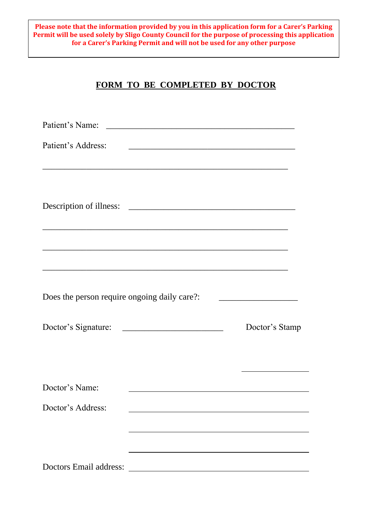**Please note that the information provided by you in this application form for a Carer's Parking Permit will be used solely by Sligo County Council for the purpose of processing this application for a Carer's Parking Permit and will not be used for any other purpose**

# **FORM TO BE COMPLETED BY DOCTOR**

| Patient's Address:                                                                                                               | <u> 2000 - Jan James James James James James James James James James James James James James James James James J</u> |
|----------------------------------------------------------------------------------------------------------------------------------|----------------------------------------------------------------------------------------------------------------------|
| Description of illness:<br><u> 1989 - Jan James James Barnett, fransk politik (d. 1989)</u>                                      |                                                                                                                      |
| ,我们也不能在这里,我们也不能在这里的时候,我们也不能会不能会不能会不能会不能会不能会不能会。""我们的人们,我们也不能会不能会不能会不能会不能会不能会不能会不<br>Does the person require ongoing daily care?: |                                                                                                                      |
| Doctor's Signature:                                                                                                              | Doctor's Stamp                                                                                                       |
| Doctor's Name:                                                                                                                   | <u> 1989 - Johann Stein, fransk politik (f. 1989)</u>                                                                |
| Doctor's Address:                                                                                                                |                                                                                                                      |
| Doctors Email address:                                                                                                           |                                                                                                                      |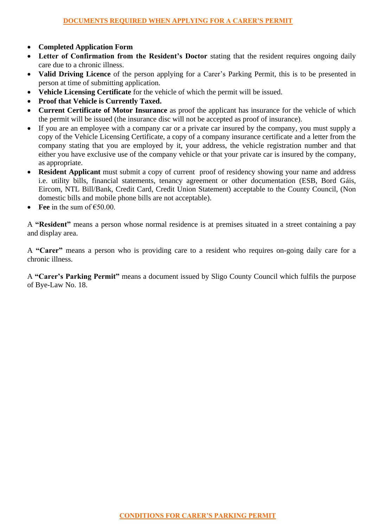- **Completed Application Form**
- **Letter of Confirmation from the Resident's Doctor** stating that the resident requires ongoing daily care due to a chronic illness.
- **Valid Driving Licence** of the person applying for a Carer's Parking Permit, this is to be presented in person at time of submitting application.
- **Vehicle Licensing Certificate** for the vehicle of which the permit will be issued.
- **Proof that Vehicle is Currently Taxed.**
- **Current Certificate of Motor Insurance** as proof the applicant has insurance for the vehicle of which the permit will be issued (the insurance disc will not be accepted as proof of insurance).
- If you are an employee with a company car or a private car insured by the company, you must supply a copy of the Vehicle Licensing Certificate, a copy of a company insurance certificate and a letter from the company stating that you are employed by it, your address, the vehicle registration number and that either you have exclusive use of the company vehicle or that your private car is insured by the company, as appropriate.
- **Resident Applicant** must submit a copy of current proof of residency showing your name and address i.e. utility bills, financial statements, tenancy agreement or other documentation (ESB, Bord Gáis, Eircom, NTL Bill/Bank, Credit Card, Credit Union Statement) acceptable to the County Council, (Non domestic bills and mobile phone bills are not acceptable).
- **•** Fee in the sum of  $€50.00$ .

A **"Resident"** means a person whose normal residence is at premises situated in a street containing a pay and display area.

A **"Carer"** means a person who is providing care to a resident who requires on-going daily care for a chronic illness.

A **"Carer's Parking Permit"** means a document issued by Sligo County Council which fulfils the purpose of Bye-Law No. 18.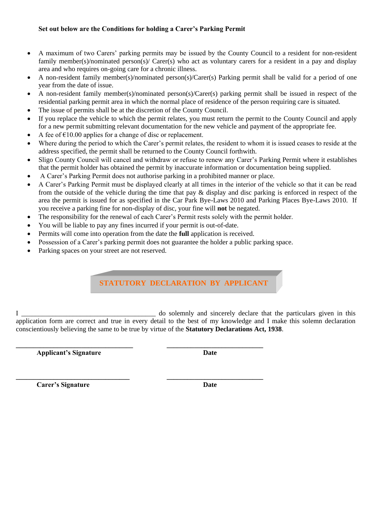#### **Set out below are the Conditions for holding a Carer's Parking Permit**

- A maximum of two Carers' parking permits may be issued by the County Council to a resident for non-resident family member(s)/nominated person(s)/ Carer(s) who act as voluntary carers for a resident in a pay and display area and who requires on-going care for a chronic illness.
- A non-resident family member(s)/nominated person(s)/Carer(s) Parking permit shall be valid for a period of one year from the date of issue.
- A non-resident family member(s)/nominated person(s)/Carer(s) parking permit shall be issued in respect of the residential parking permit area in which the normal place of residence of the person requiring care is situated.
- The issue of permits shall be at the discretion of the County Council.
- If you replace the vehicle to which the permit relates, you must return the permit to the County Council and apply for a new permit submitting relevant documentation for the new vehicle and payment of the appropriate fee.
- A fee of  $\epsilon$ 10.00 applies for a change of disc or replacement.
- Where during the period to which the Carer's permit relates, the resident to whom it is issued ceases to reside at the address specified, the permit shall be returned to the County Council forthwith.
- Sligo County Council will cancel and withdraw or refuse to renew any Carer's Parking Permit where it establishes that the permit holder has obtained the permit by inaccurate information or documentation being supplied.
- A Carer's Parking Permit does not authorise parking in a prohibited manner or place.
- A Carer's Parking Permit must be displayed clearly at all times in the interior of the vehicle so that it can be read from the outside of the vehicle during the time that pay & display and disc parking is enforced in respect of the area the permit is issued for as specified in the Car Park Bye-Laws 2010 and Parking Places Bye-Laws 2010. If you receive a parking fine for non-display of disc, your fine will **not** be negated.
- The responsibility for the renewal of each Carer's Permit rests solely with the permit holder.
- You will be liable to pay any fines incurred if your permit is out-of-date.
- Permits will come into operation from the date the **full** application is received.

**\_\_\_\_\_\_\_\_\_\_\_\_\_\_\_\_\_\_\_\_\_\_\_\_\_\_\_\_\_\_\_\_\_ \_\_\_\_\_\_\_\_\_\_\_\_\_\_\_\_\_\_\_\_\_\_\_\_\_\_\_\_**

- Possession of a Carer's parking permit does not guarantee the holder a public parking space.
- Parking spaces on your street are not reserved.

### **STATUTORY DECLARATION BY APPLICANT**

I \_\_\_\_\_\_\_\_\_\_\_\_\_\_\_\_\_\_\_\_\_\_\_\_\_\_\_\_\_\_\_\_\_\_\_\_\_\_\_ do solemnly and sincerely declare that the particulars given in this application form are correct and true in every detail to the best of my knowledge and I make this solemn declaration conscientiously believing the same to be true by virtue of the **Statutory Declarations Act, 1938**.

**Applicant's Signature Date** 

**\_\_\_\_\_\_\_\_\_\_\_\_\_\_\_\_\_\_\_\_\_\_\_\_\_\_\_\_\_\_\_\_\_\_ \_\_\_\_\_\_\_\_\_\_\_\_\_\_\_\_\_\_\_\_\_\_\_\_\_\_\_\_**

*Carer's Signature* Date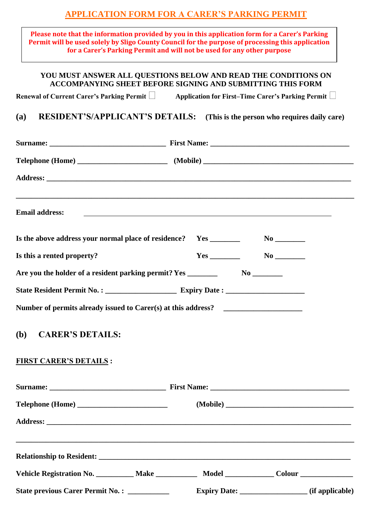# **APPLICATION FORM FOR A CARER'S PARKING PERMIT**

| Vehicle Registration No. __________ Make ____________ Model _____________ Colour ___________________                                                                                                                                                                            |                                                                                                                         |  |
|---------------------------------------------------------------------------------------------------------------------------------------------------------------------------------------------------------------------------------------------------------------------------------|-------------------------------------------------------------------------------------------------------------------------|--|
|                                                                                                                                                                                                                                                                                 |                                                                                                                         |  |
|                                                                                                                                                                                                                                                                                 |                                                                                                                         |  |
|                                                                                                                                                                                                                                                                                 |                                                                                                                         |  |
|                                                                                                                                                                                                                                                                                 |                                                                                                                         |  |
|                                                                                                                                                                                                                                                                                 |                                                                                                                         |  |
| <b>FIRST CARER'S DETAILS:</b>                                                                                                                                                                                                                                                   |                                                                                                                         |  |
| ( <b>b</b> )<br><b>CARER'S DETAILS:</b>                                                                                                                                                                                                                                         |                                                                                                                         |  |
| Number of permits already issued to Carer(s) at this address?                                                                                                                                                                                                                   |                                                                                                                         |  |
|                                                                                                                                                                                                                                                                                 |                                                                                                                         |  |
|                                                                                                                                                                                                                                                                                 |                                                                                                                         |  |
| Is this a rented property?                                                                                                                                                                                                                                                      |                                                                                                                         |  |
| Is the above address your normal place of residence? Yes _______                                                                                                                                                                                                                |                                                                                                                         |  |
| <b>Email address:</b>                                                                                                                                                                                                                                                           | <u> The Communication of the Communication of the Communication of the Communication of the Communication of the Co</u> |  |
|                                                                                                                                                                                                                                                                                 |                                                                                                                         |  |
|                                                                                                                                                                                                                                                                                 |                                                                                                                         |  |
|                                                                                                                                                                                                                                                                                 |                                                                                                                         |  |
| RESIDENT'S/APPLICANT'S DETAILS: (This is the person who requires daily care)<br>(a)                                                                                                                                                                                             |                                                                                                                         |  |
| Renewal of Current Carer's Parking Permit   Application for First-Time Carer's Parking Permit                                                                                                                                                                                   |                                                                                                                         |  |
| YOU MUST ANSWER ALL QUESTIONS BELOW AND READ THE CONDITIONS ON<br><b>ACCOMPANYING SHEET BEFORE SIGNING AND SUBMITTING THIS FORM</b>                                                                                                                                             |                                                                                                                         |  |
| Please note that the information provided by you in this application form for a Carer's Parking<br>Permit will be used solely by Sligo County Council for the purpose of processing this application<br>for a Carer's Parking Permit and will not be used for any other purpose |                                                                                                                         |  |